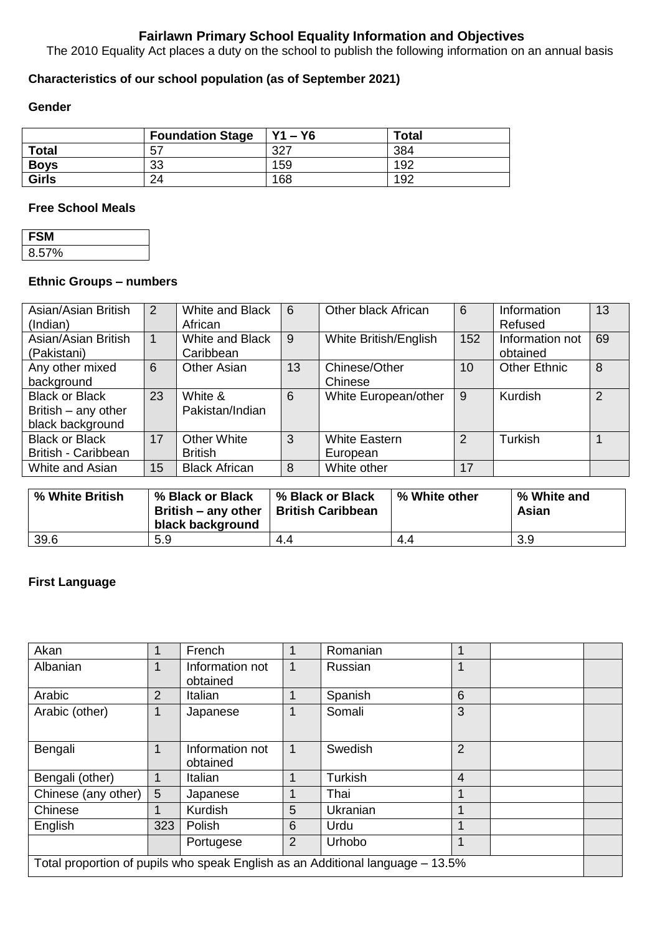# **Fairlawn Primary School Equality Information and Objectives**

The 2010 Equality Act places a duty on the school to publish the following information on an annual basis

# **Characteristics of our school population (as of September 2021)**

## **Gender**

|              | <b>Foundation Stage</b> | $Y1 - Y6$ | <b>Total</b> |
|--------------|-------------------------|-----------|--------------|
| <b>Total</b> | 57                      | דרפ       | 384          |
| <b>Boys</b>  | 33                      | 159       | 192          |
| <b>Girls</b> | 24                      | 168       | 192          |

#### **Free School Meals**

| FSI   |  |
|-------|--|
| 8.57% |  |

#### **Ethnic Groups – numbers**

| Asian/Asian British<br>(Indian)                                  | 2            | White and Black<br>African           | 6  | Other black African              | 6              | Information<br>Refused      | 13            |
|------------------------------------------------------------------|--------------|--------------------------------------|----|----------------------------------|----------------|-----------------------------|---------------|
| Asian/Asian British<br>(Pakistani)                               | $\mathbf{1}$ | White and Black<br>Caribbean         | 9  | White British/English            | 152            | Information not<br>obtained | 69            |
| Any other mixed<br>background                                    | 6            | Other Asian                          | 13 | Chinese/Other<br>Chinese         | 10             | <b>Other Ethnic</b>         | 8             |
| <b>Black or Black</b><br>British – any other<br>black background | 23           | White &<br>Pakistan/Indian           | 6  | White European/other             | 9              | Kurdish                     | $\mathcal{P}$ |
| <b>Black or Black</b><br>British - Caribbean                     | 17           | <b>Other White</b><br><b>British</b> | 3  | <b>White Eastern</b><br>European | $\overline{2}$ | Turkish                     |               |
| White and Asian                                                  | 15           | <b>Black African</b>                 | 8  | White other                      | 17             |                             |               |

| % White British | % Black or Black<br>British – any other   British Caribbean<br>black background | % Black or Black | % White other | % White and<br>Asian |
|-----------------|---------------------------------------------------------------------------------|------------------|---------------|----------------------|
| 39.6            | 5.9                                                                             | 4.4              | 4.4           | 3.9                  |

## **First Language**

| Akan                                                                           | 1              | French                      |                | Romanian       |                 |  |  |
|--------------------------------------------------------------------------------|----------------|-----------------------------|----------------|----------------|-----------------|--|--|
| Albanian                                                                       |                | Information not<br>obtained | 1              | Russian        |                 |  |  |
| Arabic                                                                         | $\overline{2}$ | Italian                     |                | Spanish        | $6\phantom{1}6$ |  |  |
| Arabic (other)                                                                 |                | Japanese                    |                | Somali         | 3               |  |  |
| Bengali                                                                        |                | Information not<br>obtained | 1              | Swedish        | $\overline{2}$  |  |  |
| Bengali (other)                                                                |                | Italian                     |                | <b>Turkish</b> | $\overline{4}$  |  |  |
| Chinese (any other)                                                            | 5              | Japanese                    |                | Thai           |                 |  |  |
| Chinese                                                                        |                | <b>Kurdish</b>              | 5              | Ukranian       |                 |  |  |
| English                                                                        | 323            | Polish                      | 6              | Urdu           |                 |  |  |
|                                                                                |                | Portugese                   | $\overline{2}$ | Urhobo         |                 |  |  |
| Total proportion of pupils who speak English as an Additional language - 13.5% |                |                             |                |                |                 |  |  |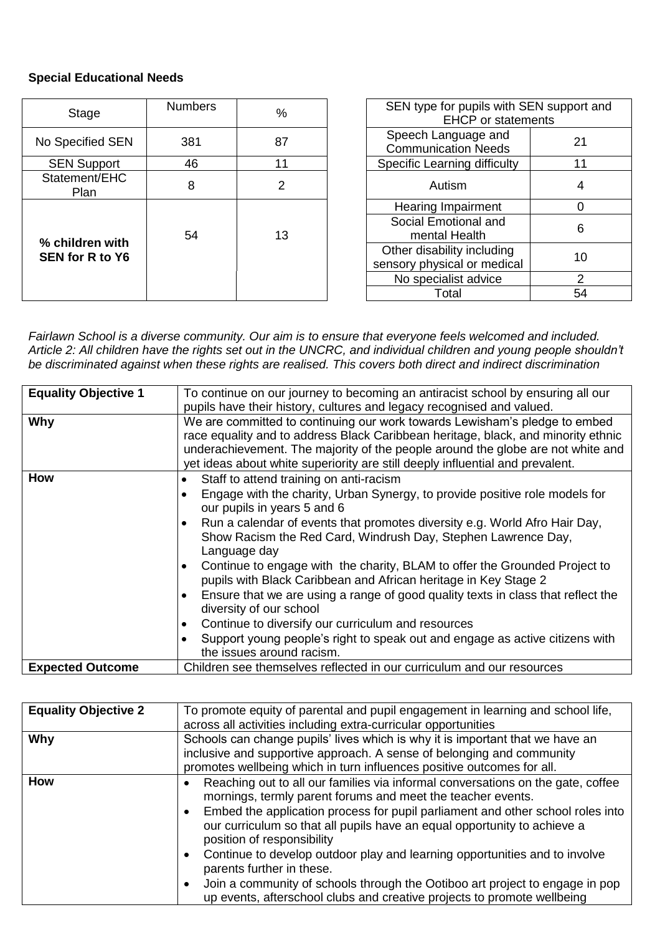## **Special Educational Needs**

| Stage                                     | <b>Numbers</b> | SEN type for pupils with SEN support and<br>$\%$<br><b>EHCP</b> or statements |                                                                 |
|-------------------------------------------|----------------|-------------------------------------------------------------------------------|-----------------------------------------------------------------|
| No Specified SEN                          | 381            | 87                                                                            | Speech Language and<br>21<br><b>Communication Needs</b>         |
| <b>SEN Support</b>                        | 46             | 11                                                                            | <b>Specific Learning difficulty</b><br>11                       |
| Statement/EHC<br><b>Plan</b>              | 8              | 2                                                                             | Autism<br>4                                                     |
|                                           |                |                                                                               | Hearing Impairment<br>0                                         |
|                                           | 54             | 13                                                                            | Social Emotional and<br>6<br>mental Health                      |
| % children with<br><b>SEN for R to Y6</b> |                |                                                                               | Other disability including<br>10<br>sensory physical or medical |
|                                           |                |                                                                               | No specialist advice<br>2                                       |
|                                           |                |                                                                               | 54<br>Total                                                     |

*Fairlawn School is a diverse community. Our aim is to ensure that everyone feels welcomed and included. Article 2: All children have the rights set out in the UNCRC, and individual children and young people shouldn't be discriminated against when these rights are realised. This covers both direct and indirect discrimination*

| <b>Equality Objective 1</b> | To continue on our journey to becoming an antiracist school by ensuring all our<br>pupils have their history, cultures and legacy recognised and valued.                                                                                                                                                                                                                                                                                                                                                                                                                                                                                                                                                                                                                          |  |  |
|-----------------------------|-----------------------------------------------------------------------------------------------------------------------------------------------------------------------------------------------------------------------------------------------------------------------------------------------------------------------------------------------------------------------------------------------------------------------------------------------------------------------------------------------------------------------------------------------------------------------------------------------------------------------------------------------------------------------------------------------------------------------------------------------------------------------------------|--|--|
| Why                         | We are committed to continuing our work towards Lewisham's pledge to embed<br>race equality and to address Black Caribbean heritage, black, and minority ethnic<br>underachievement. The majority of the people around the globe are not white and<br>yet ideas about white superiority are still deeply influential and prevalent.                                                                                                                                                                                                                                                                                                                                                                                                                                               |  |  |
| <b>How</b>                  | Staff to attend training on anti-racism<br>$\bullet$<br>Engage with the charity, Urban Synergy, to provide positive role models for<br>our pupils in years 5 and 6<br>Run a calendar of events that promotes diversity e.g. World Afro Hair Day,<br>Show Racism the Red Card, Windrush Day, Stephen Lawrence Day,<br>Language day<br>Continue to engage with the charity, BLAM to offer the Grounded Project to<br>$\bullet$<br>pupils with Black Caribbean and African heritage in Key Stage 2<br>Ensure that we are using a range of good quality texts in class that reflect the<br>diversity of our school<br>Continue to diversify our curriculum and resources<br>Support young people's right to speak out and engage as active citizens with<br>the issues around racism. |  |  |
| <b>Expected Outcome</b>     | Children see themselves reflected in our curriculum and our resources                                                                                                                                                                                                                                                                                                                                                                                                                                                                                                                                                                                                                                                                                                             |  |  |

| <b>Equality Objective 2</b> | To promote equity of parental and pupil engagement in learning and school life,<br>across all activities including extra-curricular opportunities                                                                                                                                                                                                                                                                                                                                                                                                                                                                |  |  |
|-----------------------------|------------------------------------------------------------------------------------------------------------------------------------------------------------------------------------------------------------------------------------------------------------------------------------------------------------------------------------------------------------------------------------------------------------------------------------------------------------------------------------------------------------------------------------------------------------------------------------------------------------------|--|--|
| Why                         | Schools can change pupils' lives which is why it is important that we have an<br>inclusive and supportive approach. A sense of belonging and community<br>promotes wellbeing which in turn influences positive outcomes for all.                                                                                                                                                                                                                                                                                                                                                                                 |  |  |
| <b>How</b>                  | Reaching out to all our families via informal conversations on the gate, coffee<br>mornings, termly parent forums and meet the teacher events.<br>Embed the application process for pupil parliament and other school roles into<br>our curriculum so that all pupils have an equal opportunity to achieve a<br>position of responsibility<br>Continue to develop outdoor play and learning opportunities and to involve<br>parents further in these.<br>Join a community of schools through the Ootiboo art project to engage in pop<br>up events, afterschool clubs and creative projects to promote wellbeing |  |  |